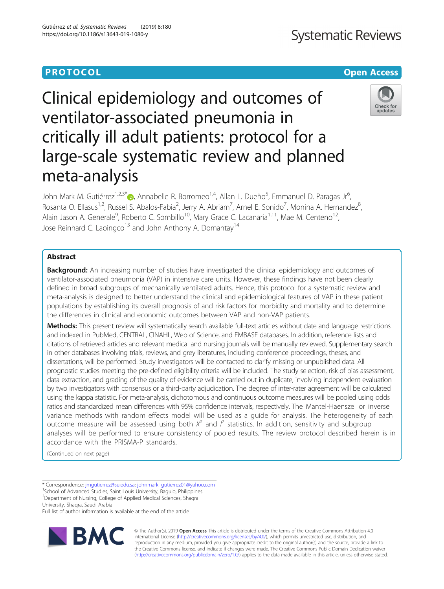# Clinical epidemiology and outcomes of ventilator-associated pneumonia in critically ill adult patients: protocol for a large-scale systematic review and planned meta-analysis

John Mark M. Gutiérrez<sup>1,2,3\*</sup>®, Annabelle R. Borromeo<sup>1,4</sup>, Allan L. Dueño<sup>5</sup>, Emmanuel D. Paragas Jr<sup>6</sup> , Rosanta O. Ellasus<sup>1,2</sup>, Russel S. Abalos-Fabia<sup>2</sup>, Jerry A. Abriam<sup>7</sup>, Arnel E. Sonido<sup>7</sup>, Monina A. Hernandez<sup>8</sup> , Alain Jason A. Generale<sup>9</sup>, Roberto C. Sombillo<sup>10</sup>, Mary Grace C. Lacanaria<sup>1,11</sup>, Mae M. Centeno<sup>12</sup>, Jose Reinhard C. Laoingco<sup>13</sup> and John Anthony A. Domantay<sup>14</sup>

# Abstract

**Background:** An increasing number of studies have investigated the clinical epidemiology and outcomes of ventilator-associated pneumonia (VAP) in intensive care units. However, these findings have not been clearly defined in broad subgroups of mechanically ventilated adults. Hence, this protocol for a systematic review and meta-analysis is designed to better understand the clinical and epidemiological features of VAP in these patient populations by establishing its overall prognosis of and risk factors for morbidity and mortality and to determine the differences in clinical and economic outcomes between VAP and non-VAP patients.

Methods: This present review will systematically search available full-text articles without date and language restrictions and indexed in PubMed, CENTRAL, CINAHL, Web of Science, and EMBASE databases. In addition, reference lists and citations of retrieved articles and relevant medical and nursing journals will be manually reviewed. Supplementary search in other databases involving trials, reviews, and grey literatures, including conference proceedings, theses, and dissertations, will be performed. Study investigators will be contacted to clarify missing or unpublished data. All prognostic studies meeting the pre-defined eligibility criteria will be included. The study selection, risk of bias assessment, data extraction, and grading of the quality of evidence will be carried out in duplicate, involving independent evaluation by two investigators with consensus or a third-party adjudication. The degree of inter-rater agreement will be calculated using the kappa statistic. For meta-analysis, dichotomous and continuous outcome measures will be pooled using odds ratios and standardized mean differences with 95% confidence intervals, respectively. The Mantel-Haenszel or inverse variance methods with random effects model will be used as a guide for analysis. The heterogeneity of each outcome measure will be assessed using both  $X^2$  and  $I^2$  statistics. In addition, sensitivity and subgroup analyses will be performed to ensure consistency of pooled results. The review protocol described herein is in accordance with the PRISMA-P standards.

(Continued on next page)

\* Correspondence: [jmgutierrez@su.edu.sa;](mailto:jmgutierrez@su.edu.sa) [johnmark\\_gutierrez01@yahoo.com](mailto:johnmark_gutierrez01@yahoo.com) <sup>1</sup>

<sup>1</sup> School of Advanced Studies, Saint Louis University, Baguio, Philippines 2 Department of Nursing, College of Applied Medical Sciences, Shaqra

University, Shaqra, Saudi Arabia

Full list of author information is available at the end of the article





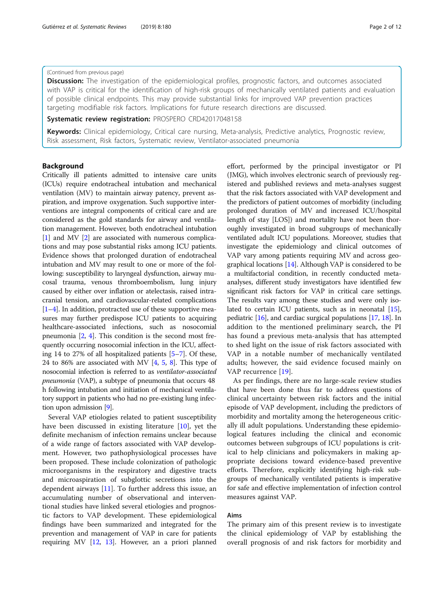# (Continued from previous page)

**Discussion:** The investigation of the epidemiological profiles, prognostic factors, and outcomes associated with VAP is critical for the identification of high-risk groups of mechanically ventilated patients and evaluation of possible clinical endpoints. This may provide substantial links for improved VAP prevention practices targeting modifiable risk factors. Implications for future research directions are discussed.

Systematic review registration: PROSPERO CRD42017048158

Keywords: Clinical epidemiology, Critical care nursing, Meta-analysis, Predictive analytics, Prognostic review, Risk assessment, Risk factors, Systematic review, Ventilator-associated pneumonia

# Background

Critically ill patients admitted to intensive care units (ICUs) require endotracheal intubation and mechanical ventilation (MV) to maintain airway patency, prevent aspiration, and improve oxygenation. Such supportive interventions are integral components of critical care and are considered as the gold standards for airway and ventilation management. However, both endotracheal intubation [[1\]](#page-10-0) and MV [[2\]](#page-10-0) are associated with numerous complications and may pose substantial risks among ICU patients. Evidence shows that prolonged duration of endotracheal intubation and MV may result to one or more of the following: susceptibility to laryngeal dysfunction, airway mucosal trauma, venous thromboembolism, lung injury caused by either over inflation or atelectasis, raised intracranial tension, and cardiovascular-related complications [[1](#page-10-0)–[4](#page-10-0)]. In addition, protracted use of these supportive measures may further predispose ICU patients to acquiring healthcare-associated infections, such as nosocomial pneumonia [[2](#page-10-0), [4\]](#page-10-0). This condition is the second most frequently occurring nosocomial infection in the ICU, affecting 14 to 27% of all hospitalized patients [[5](#page-10-0)–[7](#page-10-0)]. Of these, 24 to [8](#page-10-0)6% are associated with MV  $[4, 5, 8]$  $[4, 5, 8]$  $[4, 5, 8]$  $[4, 5, 8]$ . This type of nosocomial infection is referred to as ventilator-associated pneumonia (VAP), a subtype of pneumonia that occurs 48 h following intubation and initiation of mechanical ventilatory support in patients who had no pre-existing lung infection upon admission [[9](#page-10-0)].

Several VAP etiologies related to patient susceptibility have been discussed in existing literature [\[10\]](#page-10-0), yet the definite mechanism of infection remains unclear because of a wide range of factors associated with VAP development. However, two pathophysiological processes have been proposed. These include colonization of pathologic microorganisms in the respiratory and digestive tracts and microaspiration of subglottic secretions into the dependent airways [\[11\]](#page-10-0). To further address this issue, an accumulating number of observational and interventional studies have linked several etiologies and prognostic factors to VAP development. These epidemiological findings have been summarized and integrated for the prevention and management of VAP in care for patients requiring MV [[12](#page-10-0), [13\]](#page-10-0). However, an a priori planned

effort, performed by the principal investigator or PI (JMG), which involves electronic search of previously registered and published reviews and meta-analyses suggest that the risk factors associated with VAP development and the predictors of patient outcomes of morbidity (including prolonged duration of MV and increased ICU/hospital length of stay [LOS]) and mortality have not been thoroughly investigated in broad subgroups of mechanically ventilated adult ICU populations. Moreover, studies that investigate the epidemiology and clinical outcomes of VAP vary among patients requiring MV and across geographical locations [\[14\]](#page-10-0). Although VAP is considered to be a multifactorial condition, in recently conducted metaanalyses, different study investigators have identified few significant risk factors for VAP in critical care settings. The results vary among these studies and were only isolated to certain ICU patients, such as in neonatal [[15](#page-10-0)], pediatric [\[16](#page-10-0)], and cardiac surgical populations [[17](#page-10-0), [18\]](#page-10-0). In addition to the mentioned preliminary search, the PI has found a previous meta-analysis that has attempted to shed light on the issue of risk factors associated with VAP in a notable number of mechanically ventilated adults; however, the said evidence focused mainly on VAP recurrence [\[19](#page-10-0)].

As per findings, there are no large-scale review studies that have been done thus far to address questions of clinical uncertainty between risk factors and the initial episode of VAP development, including the predictors of morbidity and mortality among the heterogeneous critically ill adult populations. Understanding these epidemiological features including the clinical and economic outcomes between subgroups of ICU populations is critical to help clinicians and policymakers in making appropriate decisions toward evidence-based preventive efforts. Therefore, explicitly identifying high-risk subgroups of mechanically ventilated patients is imperative for safe and effective implementation of infection control measures against VAP.

# Aims

The primary aim of this present review is to investigate the clinical epidemiology of VAP by establishing the overall prognosis of and risk factors for morbidity and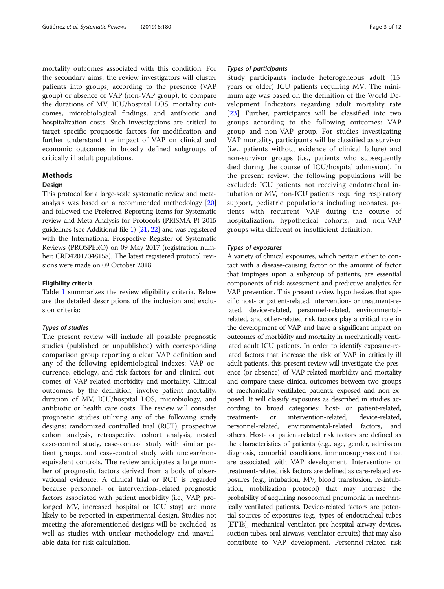mortality outcomes associated with this condition. For the secondary aims, the review investigators will cluster patients into groups, according to the presence (VAP group) or absence of VAP (non-VAP group), to compare the durations of MV, ICU/hospital LOS, mortality outcomes, microbiological findings, and antibiotic and hospitalization costs. Such investigations are critical to target specific prognostic factors for modification and further understand the impact of VAP on clinical and economic outcomes in broadly defined subgroups of critically ill adult populations.

# Methods

#### **Design**

This protocol for a large-scale systematic review and metaanalysis was based on a recommended methodology [\[20](#page-10-0)] and followed the Preferred Reporting Items for Systematic review and Meta-Analysis for Protocols (PRISMA-P) 2015 guidelines (see Additional file [1](#page-9-0)) [\[21,](#page-10-0) [22\]](#page-10-0) and was registered with the International Prospective Register of Systematic Reviews (PROSPERO) on 09 May 2017 (registration number: CRD42017048158). The latest registered protocol revisions were made on 09 October 2018.

#### Eligibility criteria

Table [1](#page-3-0) summarizes the review eligibility criteria. Below are the detailed descriptions of the inclusion and exclusion criteria:

#### Types of studies

The present review will include all possible prognostic studies (published or unpublished) with corresponding comparison group reporting a clear VAP definition and any of the following epidemiological indexes: VAP occurrence, etiology, and risk factors for and clinical outcomes of VAP-related morbidity and mortality. Clinical outcomes, by the definition, involve patient mortality, duration of MV, ICU/hospital LOS, microbiology, and antibiotic or health care costs. The review will consider prognostic studies utilizing any of the following study designs: randomized controlled trial (RCT), prospective cohort analysis, retrospective cohort analysis, nested case-control study, case-control study with similar patient groups, and case-control study with unclear/nonequivalent controls. The review anticipates a large number of prognostic factors derived from a body of observational evidence. A clinical trial or RCT is regarded because personnel- or intervention-related prognostic factors associated with patient morbidity (i.e., VAP, prolonged MV, increased hospital or ICU stay) are more likely to be reported in experimental design. Studies not meeting the aforementioned designs will be excluded, as well as studies with unclear methodology and unavailable data for risk calculation.

#### Types of participants

Study participants include heterogeneous adult (15 years or older) ICU patients requiring MV. The minimum age was based on the definition of the World Development Indicators regarding adult mortality rate [[23\]](#page-10-0). Further, participants will be classified into two groups according to the following outcomes: VAP group and non-VAP group. For studies investigating VAP mortality, participants will be classified as survivor (i.e., patients without evidence of clinical failure) and non-survivor groups (i.e., patients who subsequently died during the course of ICU/hospital admission). In the present review, the following populations will be excluded: ICU patients not receiving endotracheal intubation or MV, non-ICU patients requiring respiratory support, pediatric populations including neonates, patients with recurrent VAP during the course of hospitalization, hypothetical cohorts, and non-VAP groups with different or insufficient definition.

#### Types of exposures

A variety of clinical exposures, which pertain either to contact with a disease-causing factor or the amount of factor that impinges upon a subgroup of patients, are essential components of risk assessment and predictive analytics for VAP prevention. This present review hypothesizes that specific host- or patient-related, intervention- or treatment-related, device-related, personnel-related, environmentalrelated, and other-related risk factors play a critical role in the development of VAP and have a significant impact on outcomes of morbidity and mortality in mechanically ventilated adult ICU patients. In order to identify exposure-related factors that increase the risk of VAP in critically ill adult patients, this present review will investigate the presence (or absence) of VAP-related morbidity and mortality and compare these clinical outcomes between two groups of mechanically ventilated patients: exposed and non-exposed. It will classify exposures as described in studies according to broad categories: host- or patient-related, treatment- or intervention-related, device-related, personnel-related, environmental-related factors, and others. Host- or patient-related risk factors are defined as the characteristics of patients (e.g., age, gender, admission diagnosis, comorbid conditions, immunosuppression) that are associated with VAP development. Intervention- or treatment-related risk factors are defined as care-related exposures (e.g., intubation, MV, blood transfusion, re-intubation, mobilization protocol) that may increase the probability of acquiring nosocomial pneumonia in mechanically ventilated patients. Device-related factors are potential sources of exposures (e.g., types of endotracheal tubes [ETTs], mechanical ventilator, pre-hospital airway devices, suction tubes, oral airways, ventilator circuits) that may also contribute to VAP development. Personnel-related risk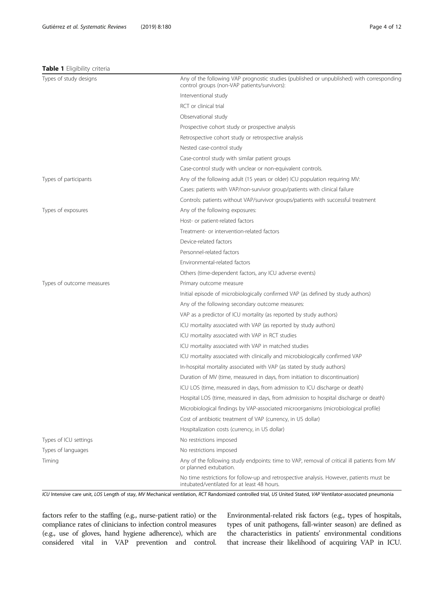# <span id="page-3-0"></span>Table 1 Eligibility criteria

| Types of study designs    | Any of the following VAP prognostic studies (published or unpublished) with corresponding<br>control groups (non-VAP patients/survivors): |
|---------------------------|-------------------------------------------------------------------------------------------------------------------------------------------|
|                           | Interventional study                                                                                                                      |
|                           | RCT or clinical trial                                                                                                                     |
|                           | Observational study                                                                                                                       |
|                           | Prospective cohort study or prospective analysis                                                                                          |
|                           | Retrospective cohort study or retrospective analysis                                                                                      |
|                           | Nested case-control study                                                                                                                 |
|                           | Case-control study with similar patient groups                                                                                            |
|                           | Case-control study with unclear or non-equivalent controls.                                                                               |
| Types of participants     | Any of the following adult (15 years or older) ICU population requiring MV:                                                               |
|                           | Cases: patients with VAP/non-survivor group/patients with clinical failure                                                                |
|                           | Controls: patients without VAP/survivor groups/patients with successful treatment                                                         |
| Types of exposures        | Any of the following exposures:                                                                                                           |
|                           | Host- or patient-related factors                                                                                                          |
|                           | Treatment- or intervention-related factors                                                                                                |
|                           | Device-related factors                                                                                                                    |
|                           | Personnel-related factors                                                                                                                 |
|                           | Environmental-related factors                                                                                                             |
|                           | Others (time-dependent factors, any ICU adverse events)                                                                                   |
| Types of outcome measures | Primary outcome measure                                                                                                                   |
|                           | Initial episode of microbiologically confirmed VAP (as defined by study authors)                                                          |
|                           | Any of the following secondary outcome measures:                                                                                          |
|                           | VAP as a predictor of ICU mortality (as reported by study authors)                                                                        |
|                           | ICU mortality associated with VAP (as reported by study authors)                                                                          |
|                           | ICU mortality associated with VAP in RCT studies                                                                                          |
|                           | ICU mortality associated with VAP in matched studies                                                                                      |
|                           | ICU mortality associated with clinically and microbiologically confirmed VAP                                                              |
|                           | In-hospital mortality associated with VAP (as stated by study authors)                                                                    |
|                           | Duration of MV (time, measured in days, from initiation to discontinuation)                                                               |
|                           | ICU LOS (time, measured in days, from admission to ICU discharge or death)                                                                |
|                           | Hospital LOS (time, measured in days, from admission to hospital discharge or death)                                                      |
|                           | Microbiological findings by VAP-associated microorganisms (microbiological profile)                                                       |
|                           | Cost of antibiotic treatment of VAP (currency, in US dollar)                                                                              |
|                           | Hospitalization costs (currency, in US dollar)                                                                                            |
| Types of ICU settings     | No restrictions imposed                                                                                                                   |
| Types of languages        | No restrictions imposed                                                                                                                   |
| Timing                    | Any of the following study endpoints: time to VAP, removal of critical ill patients from MV<br>or planned extubation.                     |
|                           | No time restrictions for follow-up and retrospective analysis. However, patients must be                                                  |

ICU Intensive care unit, LOS Length of stay, MV Mechanical ventilation, RCT Randomized controlled trial, US United Stated, VAP Ventilator-associated pneumonia

intubated/ventilated for at least 48 hours.

factors refer to the staffing (e.g., nurse-patient ratio) or the compliance rates of clinicians to infection control measures (e.g., use of gloves, hand hygiene adherence), which are considered vital in VAP prevention and control. Environmental-related risk factors (e.g., types of hospitals, types of unit pathogens, fall-winter season) are defined as the characteristics in patients' environmental conditions that increase their likelihood of acquiring VAP in ICU.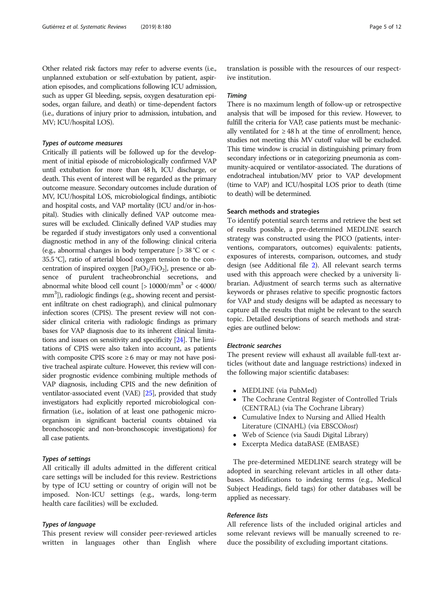Other related risk factors may refer to adverse events (i.e., unplanned extubation or self-extubation by patient, aspiration episodes, and complications following ICU admission, such as upper GI bleeding, sepsis, oxygen desaturation episodes, organ failure, and death) or time-dependent factors (i.e., durations of injury prior to admission, intubation, and MV; ICU/hospital LOS).

#### Types of outcome measures

Critically ill patients will be followed up for the development of initial episode of microbiologically confirmed VAP until extubation for more than 48 h, ICU discharge, or death. This event of interest will be regarded as the primary outcome measure. Secondary outcomes include duration of MV, ICU/hospital LOS, microbiological findings, antibiotic and hospital costs, and VAP mortality (ICU and/or in-hospital). Studies with clinically defined VAP outcome measures will be excluded. Clinically defined VAP studies may be regarded if study investigators only used a conventional diagnostic method in any of the following: clinical criteria (e.g., abnormal changes in body temperature [> 38 °C or < 35.5 °C], ratio of arterial blood oxygen tension to the concentration of inspired oxygen  $[PaO<sub>2</sub>/FiO<sub>2</sub>]$ , presence or absence of purulent tracheobronchial secretions, and abnormal white blood cell count  $\left[>10000/mm^3 \text{ or } < 4000$ / mm<sup>3</sup>]), radiologic findings (e.g., showing recent and persistent infiltrate on chest radiograph), and clinical pulmonary infection scores (CPIS). The present review will not consider clinical criteria with radiologic findings as primary bases for VAP diagnosis due to its inherent clinical limitations and issues on sensitivity and specificity [\[24\]](#page-10-0). The limitations of CPIS were also taken into account, as patients with composite CPIS score  $\geq 6$  may or may not have positive tracheal aspirate culture. However, this review will consider prognostic evidence combining multiple methods of VAP diagnosis, including CPIS and the new definition of ventilator-associated event (VAE) [\[25](#page-10-0)], provided that study investigators had explicitly reported microbiological confirmation (i.e., isolation of at least one pathogenic microorganism in significant bacterial counts obtained via bronchoscopic and non-bronchoscopic investigations) for all case patients.

#### Types of settings

All critically ill adults admitted in the different critical care settings will be included for this review. Restrictions by type of ICU setting or country of origin will not be imposed. Non-ICU settings (e.g., wards, long-term health care facilities) will be excluded.

#### Types of language

This present review will consider peer-reviewed articles written in languages other than English where

translation is possible with the resources of our respective institution.

#### Timing

There is no maximum length of follow-up or retrospective analysis that will be imposed for this review. However, to fulfill the criteria for VAP, case patients must be mechanically ventilated for  $\geq 48$  h at the time of enrollment; hence, studies not meeting this MV cutoff value will be excluded. This time window is crucial in distinguishing primary from secondary infections or in categorizing pneumonia as community-acquired or ventilator-associated. The durations of endotracheal intubation/MV prior to VAP development (time to VAP) and ICU/hospital LOS prior to death (time to death) will be determined.

# Search methods and strategies

To identify potential search terms and retrieve the best set of results possible, a pre-determined MEDLINE search strategy was constructed using the PICO (patients, interventions, comparators, outcomes) equivalents: patients, exposures of interests, comparison, outcomes, and study design (see Additional file [2](#page-9-0)). All relevant search terms used with this approach were checked by a university librarian. Adjustment of search terms such as alternative keywords or phrases relative to specific prognostic factors for VAP and study designs will be adapted as necessary to capture all the results that might be relevant to the search topic. Detailed descriptions of search methods and strategies are outlined below:

# Electronic searches

The present review will exhaust all available full-text articles (without date and language restrictions) indexed in the following major scientific databases:

- MEDLINE (via PubMed)
- The Cochrane Central Register of Controlled Trials (CENTRAL) (via The Cochrane Library)
- Cumulative Index to Nursing and Allied Health Literature (CINAHL) (via EBSCOhost)
- Web of Science (via Saudi Digital Library)
- Excerpta Medica dataBASE (EMBASE)

The pre-determined MEDLINE search strategy will be adopted in searching relevant articles in all other databases. Modifications to indexing terms (e.g., Medical Subject Headings, field tags) for other databases will be applied as necessary.

### Reference lists

All reference lists of the included original articles and some relevant reviews will be manually screened to reduce the possibility of excluding important citations.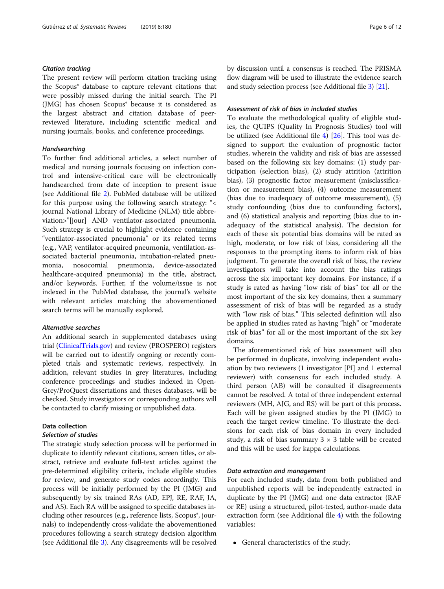### Citation tracking

The present review will perform citation tracking using the Scopus® database to capture relevant citations that were possibly missed during the initial search. The PI (JMG) has chosen Scopus® because it is considered as the largest abstract and citation database of peerreviewed literature, including scientific medical and nursing journals, books, and conference proceedings.

# Handsearching

To further find additional articles, a select number of medical and nursing journals focusing on infection control and intensive-critical care will be electronically handsearched from date of inception to present issue (see Additional file [2\)](#page-9-0). PubMed database will be utilized for this purpose using the following search strategy: "< journal National Library of Medicine (NLM) title abbreviation>"[jour] AND ventilator-associated pneumonia. Such strategy is crucial to highlight evidence containing "ventilator-associated pneumonia" or its related terms (e.g., VAP, ventilator-acquired pneumonia, ventilation-associated bacterial pneumonia, intubation-related pneumonia, nosocomial pneumonia, device-associated healthcare-acquired pneumonia) in the title, abstract, and/or keywords. Further, if the volume/issue is not indexed in the PubMed database, the journal's website with relevant articles matching the abovementioned search terms will be manually explored.

#### Alternative searches

An additional search in supplemented databases using trial [\(ClinicalTrials.gov\)](http://clinicaltrials.gov) and review (PROSPERO) registers will be carried out to identify ongoing or recently completed trials and systematic reviews, respectively. In addition, relevant studies in grey literatures, including conference proceedings and studies indexed in Open-Grey/ProQuest dissertations and theses databases, will be checked. Study investigators or corresponding authors will be contacted to clarify missing or unpublished data.

# Data collection

# Selection of studies

The strategic study selection process will be performed in duplicate to identify relevant citations, screen titles, or abstract, retrieve and evaluate full-text articles against the pre-determined eligibility criteria, include eligible studies for review, and generate study codes accordingly. This process will be initially performed by the PI (JMG) and subsequently by six trained RAs (AD, EPJ, RE, RAF, JA, and AS). Each RA will be assigned to specific databases including other resources (e.g., reference lists, Scopus<sup>®</sup>, journals) to independently cross-validate the abovementioned procedures following a search strategy decision algorithm (see Additional file [3](#page-9-0)). Any disagreements will be resolved by discussion until a consensus is reached. The PRISMA flow diagram will be used to illustrate the evidence search and study selection process (see Additional file [3\)](#page-9-0) [[21](#page-10-0)].

# Assessment of risk of bias in included studies

To evaluate the methodological quality of eligible studies, the QUIPS (Quality In Prognosis Studies) tool will be utilized (see Additional file [4\)](#page-9-0) [\[26](#page-10-0)]. This tool was designed to support the evaluation of prognostic factor studies, wherein the validity and risk of bias are assessed based on the following six key domains: (1) study participation (selection bias), (2) study attrition (attrition bias), (3) prognostic factor measurement (misclassification or measurement bias), (4) outcome measurement (bias due to inadequacy of outcome measurement), (5) study confounding (bias due to confounding factors), and (6) statistical analysis and reporting (bias due to inadequacy of the statistical analysis). The decision for each of these six potential bias domains will be rated as high, moderate, or low risk of bias, considering all the responses to the prompting items to inform risk of bias judgment. To generate the overall risk of bias, the review investigators will take into account the bias ratings across the six important key domains. For instance, if a study is rated as having "low risk of bias" for all or the most important of the six key domains, then a summary assessment of risk of bias will be regarded as a study with "low risk of bias." This selected definition will also be applied in studies rated as having "high" or "moderate risk of bias" for all or the most important of the six key domains.

The aforementioned risk of bias assessment will also be performed in duplicate, involving independent evaluation by two reviewers (1 investigator [PI] and 1 external reviewer) with consensus for each included study. A third person (AB) will be consulted if disagreements cannot be resolved. A total of three independent external reviewers (MH, AJG, and RS) will be part of this process. Each will be given assigned studies by the PI (JMG) to reach the target review timeline. To illustrate the decisions for each risk of bias domain in every included study, a risk of bias summary  $3 \times 3$  table will be created and this will be used for kappa calculations.

# Data extraction and management

For each included study, data from both published and unpublished reports will be independently extracted in duplicate by the PI (JMG) and one data extractor (RAF or RE) using a structured, pilot-tested, author-made data extraction form (see Additional file [4\)](#page-9-0) with the following variables:

• General characteristics of the study;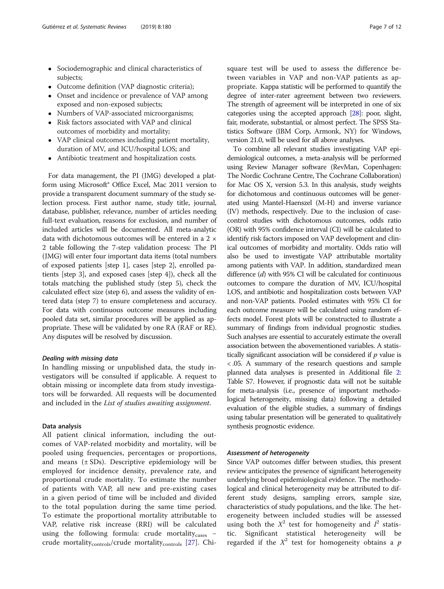- Sociodemographic and clinical characteristics of subjects;
- Outcome definition (VAP diagnostic criteria);
- Onset and incidence or prevalence of VAP among exposed and non-exposed subjects;
- Numbers of VAP-associated microorganisms;
- Risk factors associated with VAP and clinical outcomes of morbidity and mortality;
- VAP clinical outcomes including patient mortality, duration of MV, and ICU/hospital LOS; and
- Antibiotic treatment and hospitalization costs.

For data management, the PI (JMG) developed a platform using Microsoft® Office Excel, Mac 2011 version to provide a transparent document summary of the study selection process. First author name, study title, journal, database, publisher, relevance, number of articles needing full-text evaluation, reasons for exclusion, and number of included articles will be documented. All meta-analytic data with dichotomous outcomes will be entered in a 2 × 2 table following the 7-step validation process: The PI (JMG) will enter four important data items (total numbers of exposed patients [step 1], cases [step 2], enrolled patients [step 3], and exposed cases [step 4]), check all the totals matching the published study (step 5), check the calculated effect size (step 6), and assess the validity of entered data (step 7) to ensure completeness and accuracy. For data with continuous outcome measures including pooled data set, similar procedures will be applied as appropriate. These will be validated by one RA (RAF or RE). Any disputes will be resolved by discussion.

#### Dealing with missing data

In handling missing or unpublished data, the study investigators will be consulted if applicable. A request to obtain missing or incomplete data from study investigators will be forwarded. All requests will be documented and included in the List of studies awaiting assignment.

#### Data analysis

All patient clinical information, including the outcomes of VAP-related morbidity and mortality, will be pooled using frequencies, percentages or proportions, and means (± SDs). Descriptive epidemiology will be employed for incidence density, prevalence rate, and proportional crude mortality. To estimate the number of patients with VAP, all new and pre-existing cases in a given period of time will be included and divided to the total population during the same time period. To estimate the proportional mortality attributable to VAP, relative risk increase (RRI) will be calculated using the following formula: crude mortality<sub>cases</sub> − crude mortality<sub>controls</sub>/crude mortality<sub>controls</sub> [[27\]](#page-10-0). Chisquare test will be used to assess the difference between variables in VAP and non-VAP patients as appropriate. Kappa statistic will be performed to quantify the degree of inter-rater agreement between two reviewers. The strength of agreement will be interpreted in one of six categories using the accepted approach [\[28\]](#page-10-0): poor, slight, fair, moderate, substantial, or almost perfect. The SPSS Statistics Software (IBM Corp, Armonk, NY) for Windows, version 21.0, will be used for all above analyses.

To combine all relevant studies investigating VAP epidemiological outcomes, a meta-analysis will be performed using Review Manager software (RevMan, Copenhagen: The Nordic Cochrane Centre, The Cochrane Collaboration) for Mac OS X, version 5.3. In this analysis, study weights for dichotomous and continuous outcomes will be generated using Mantel-Haenszel (M-H) and inverse variance (IV) methods, respectively. Due to the inclusion of casecontrol studies with dichotomous outcomes, odds ratio (OR) with 95% confidence interval (CI) will be calculated to identify risk factors imposed on VAP development and clinical outcomes of morbidity and mortality. Odds ratio will also be used to investigate VAP attributable mortality among patients with VAP. In addition, standardized mean difference (d) with 95% CI will be calculated for continuous outcomes to compare the duration of MV, ICU/hospital LOS, and antibiotic and hospitalization costs between VAP and non-VAP patients. Pooled estimates with 95% CI for each outcome measure will be calculated using random effects model. Forest plots will be constructed to illustrate a summary of findings from individual prognostic studies. Such analyses are essential to accurately estimate the overall association between the abovementioned variables. A statistically significant association will be considered if  $p$  value is < .05. A summary of the research questions and sample planned data analyses is presented in Additional file [2](#page-9-0): Table S7. However, if prognostic data will not be suitable for meta-analysis (i.e., presence of important methodological heterogeneity, missing data) following a detailed evaluation of the eligible studies, a summary of findings using tabular presentation will be generated to qualitatively synthesis prognostic evidence.

#### Assessment of heterogeneity

Since VAP outcomes differ between studies, this present review anticipates the presence of significant heterogeneity underlying broad epidemiological evidence. The methodological and clinical heterogeneity may be attributed to different study designs, sampling errors, sample size, characteristics of study populations, and the like. The heterogeneity between included studies will be assessed using both the  $X^2$  test for homogeneity and  $I^2$  statistic. Significant statistical heterogeneity will be regarded if the  $X^2$  test for homogeneity obtains a p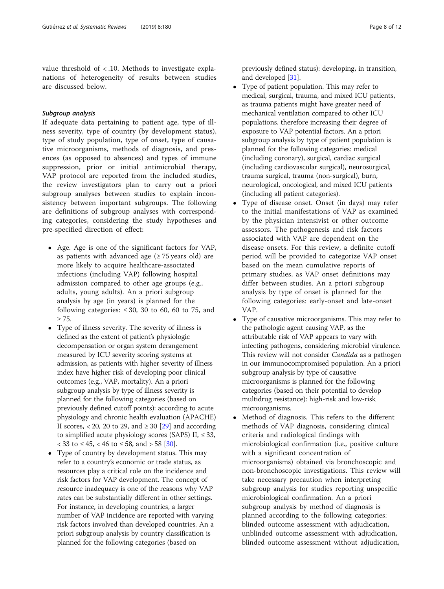value threshold of < .10. Methods to investigate explanations of heterogeneity of results between studies are discussed below.

# Subgroup analysis

If adequate data pertaining to patient age, type of illness severity, type of country (by development status), type of study population, type of onset, type of causative microorganisms, methods of diagnosis, and presences (as opposed to absences) and types of immune suppression, prior or initial antimicrobial therapy, VAP protocol are reported from the included studies, the review investigators plan to carry out a priori subgroup analyses between studies to explain inconsistency between important subgroups. The following are definitions of subgroup analyses with corresponding categories, considering the study hypotheses and pre-specified direction of effect:

- Age. Age is one of the significant factors for VAP, as patients with advanced age ( $\geq$  75 years old) are more likely to acquire healthcare-associated infections (including VAP) following hospital admission compared to other age groups (e.g., adults, young adults). An a priori subgroup analysis by age (in years) is planned for the following categories:  $\leq 30$ , 30 to 60, 60 to 75, and  $> 75.$
- Type of illness severity. The severity of illness is defined as the extent of patient's physiologic decompensation or organ system derangement measured by ICU severity scoring systems at admission, as patients with higher severity of illness index have higher risk of developing poor clinical outcomes (e.g., VAP, mortality). An a priori subgroup analysis by type of illness severity is planned for the following categories (based on previously defined cutoff points): according to acute physiology and chronic health evaluation (APACHE) II scores, < 20, 20 to 29, and  $\geq 30$  [\[29\]](#page-10-0) and according to simplified acute physiology scores (SAPS) II,  $\leq$  33, < 33 to ≤ 45, < 46 to ≤ 58, and > 58 [\[30\]](#page-10-0).
- Type of country by development status. This may refer to a country's economic or trade status, as resources play a critical role on the incidence and risk factors for VAP development. The concept of resource inadequacy is one of the reasons why VAP rates can be substantially different in other settings. For instance, in developing countries, a larger number of VAP incidence are reported with varying risk factors involved than developed countries. An a priori subgroup analysis by country classification is planned for the following categories (based on

previously defined status): developing, in transition, and developed [[31](#page-10-0)].

- Type of patient population. This may refer to medical, surgical, trauma, and mixed ICU patients, as trauma patients might have greater need of mechanical ventilation compared to other ICU populations, therefore increasing their degree of exposure to VAP potential factors. An a priori subgroup analysis by type of patient population is planned for the following categories: medical (including coronary), surgical, cardiac surgical (including cardiovascular surgical), neurosurgical, trauma surgical, trauma (non-surgical), burn, neurological, oncological, and mixed ICU patients (including all patient categories).
- Type of disease onset. Onset (in days) may refer to the initial manifestations of VAP as examined by the physician intensivist or other outcome assessors. The pathogenesis and risk factors associated with VAP are dependent on the disease onsets. For this review, a definite cutoff period will be provided to categorize VAP onset based on the mean cumulative reports of primary studies, as VAP onset definitions may differ between studies. An a priori subgroup analysis by type of onset is planned for the following categories: early-onset and late-onset VAP.
- Type of causative microorganisms. This may refer to the pathologic agent causing VAP, as the attributable risk of VAP appears to vary with infecting pathogens, considering microbial virulence. This review will not consider *Candida* as a pathogen in our immunocompromised population. An a priori subgroup analysis by type of causative microorganisms is planned for the following categories (based on their potential to develop multidrug resistance): high-risk and low-risk microorganisms.
- Method of diagnosis. This refers to the different methods of VAP diagnosis, considering clinical criteria and radiological findings with microbiological confirmation (i.e., positive culture with a significant concentration of microorganisms) obtained via bronchoscopic and non-bronchoscopic investigations. This review will take necessary precaution when interpreting subgroup analysis for studies reporting unspecific microbiological confirmation. An a priori subgroup analysis by method of diagnosis is planned according to the following categories: blinded outcome assessment with adjudication, unblinded outcome assessment with adjudication, blinded outcome assessment without adjudication,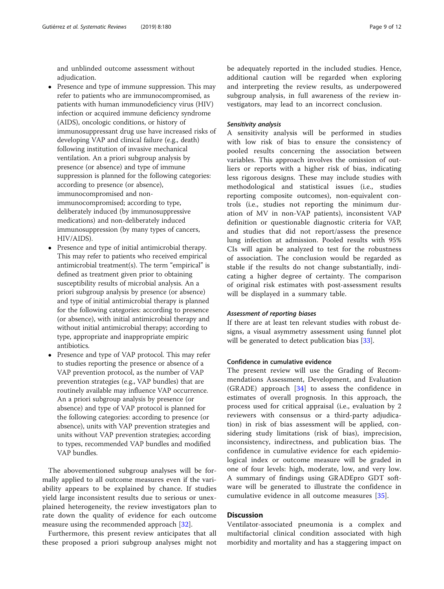and unblinded outcome assessment without adjudication.

- Presence and type of immune suppression. This may refer to patients who are immunocompromised, as patients with human immunodeficiency virus (HIV) infection or acquired immune deficiency syndrome (AIDS), oncologic conditions, or history of immunosuppressant drug use have increased risks of developing VAP and clinical failure (e.g., death) following institution of invasive mechanical ventilation. An a priori subgroup analysis by presence (or absence) and type of immune suppression is planned for the following categories: according to presence (or absence), immunocompromised and nonimmunocompromised; according to type, deliberately induced (by immunosuppressive medications) and non-deliberately induced immunosuppression (by many types of cancers, HIV/AIDS).
- Presence and type of initial antimicrobial therapy. This may refer to patients who received empirical antimicrobial treatment(s). The term "empirical" is defined as treatment given prior to obtaining susceptibility results of microbial analysis. An a priori subgroup analysis by presence (or absence) and type of initial antimicrobial therapy is planned for the following categories: according to presence (or absence), with initial antimicrobial therapy and without initial antimicrobial therapy; according to type, appropriate and inappropriate empiric antibiotics.
- Presence and type of VAP protocol. This may refer to studies reporting the presence or absence of a VAP prevention protocol, as the number of VAP prevention strategies (e.g., VAP bundles) that are routinely available may influence VAP occurrence. An a priori subgroup analysis by presence (or absence) and type of VAP protocol is planned for the following categories: according to presence (or absence), units with VAP prevention strategies and units without VAP prevention strategies; according to types, recommended VAP bundles and modified VAP bundles.

The abovementioned subgroup analyses will be formally applied to all outcome measures even if the variability appears to be explained by chance. If studies yield large inconsistent results due to serious or unexplained heterogeneity, the review investigators plan to rate down the quality of evidence for each outcome measure using the recommended approach [[32](#page-10-0)].

Furthermore, this present review anticipates that all these proposed a priori subgroup analyses might not be adequately reported in the included studies. Hence, additional caution will be regarded when exploring and interpreting the review results, as underpowered subgroup analysis, in full awareness of the review investigators, may lead to an incorrect conclusion.

#### Sensitivity analysis

A sensitivity analysis will be performed in studies with low risk of bias to ensure the consistency of pooled results concerning the association between variables. This approach involves the omission of outliers or reports with a higher risk of bias, indicating less rigorous designs. These may include studies with methodological and statistical issues (i.e., studies reporting composite outcomes), non-equivalent controls (i.e., studies not reporting the minimum duration of MV in non-VAP patients), inconsistent VAP definition or questionable diagnostic criteria for VAP, and studies that did not report/assess the presence lung infection at admission. Pooled results with 95% CIs will again be analyzed to test for the robustness of association. The conclusion would be regarded as stable if the results do not change substantially, indicating a higher degree of certainty. The comparison of original risk estimates with post-assessment results will be displayed in a summary table.

#### Assessment of reporting biases

If there are at least ten relevant studies with robust designs, a visual asymmetry assessment using funnel plot will be generated to detect publication bias [\[33\]](#page-10-0).

# Confidence in cumulative evidence

The present review will use the Grading of Recommendations Assessment, Development, and Evaluation (GRADE) approach [[34\]](#page-10-0) to assess the confidence in estimates of overall prognosis. In this approach, the process used for critical appraisal (i.e., evaluation by 2 reviewers with consensus or a third-party adjudication) in risk of bias assessment will be applied, considering study limitations (risk of bias), imprecision, inconsistency, indirectness, and publication bias. The confidence in cumulative evidence for each epidemiological index or outcome measure will be graded in one of four levels: high, moderate, low, and very low. A summary of findings using GRADEpro GDT software will be generated to illustrate the confidence in cumulative evidence in all outcome measures [\[35](#page-10-0)].

# **Discussion**

Ventilator-associated pneumonia is a complex and multifactorial clinical condition associated with high morbidity and mortality and has a staggering impact on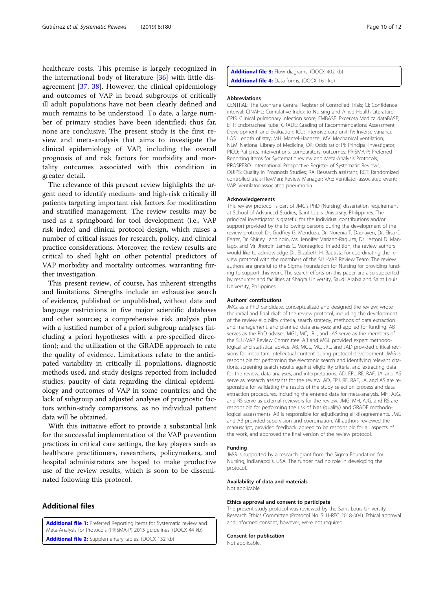<span id="page-9-0"></span>healthcare costs. This premise is largely recognized in the international body of literature [[36\]](#page-10-0) with little disagreement [\[37](#page-11-0), [38](#page-11-0)]. However, the clinical epidemiology and outcomes of VAP in broad subgroups of critically ill adult populations have not been clearly defined and much remains to be understood. To date, a large number of primary studies have been identified; thus far, none are conclusive. The present study is the first review and meta-analysis that aims to investigate the clinical epidemiology of VAP, including the overall prognosis of and risk factors for morbidity and mortality outcomes associated with this condition in greater detail.

The relevance of this present review highlights the urgent need to identify medium- and high-risk critically ill patients targeting important risk factors for modification and stratified management. The review results may be used as a springboard for tool development (i.e., VAP risk index) and clinical protocol design, which raises a number of critical issues for research, policy, and clinical practice considerations. Moreover, the review results are critical to shed light on other potential predictors of VAP morbidity and mortality outcomes, warranting further investigation.

This present review, of course, has inherent strengths and limitations. Strengths include an exhaustive search of evidence, published or unpublished, without date and language restrictions in five major scientific databases and other sources; a comprehensive risk analysis plan with a justified number of a priori subgroup analyses (including a priori hypotheses with a pre-specified direction); and the utilization of the GRADE approach to rate the quality of evidence. Limitations relate to the anticipated variability in critically ill populations, diagnostic methods used, and study designs reported from included studies; paucity of data regarding the clinical epidemiology and outcomes of VAP in some countries; and the lack of subgroup and adjusted analyses of prognostic factors within-study comparisons, as no individual patient data will be obtained.

With this initiative effort to provide a substantial link for the successful implementation of the VAP prevention practices in critical care settings, the key players such as healthcare practitioners, researchers, policymakers, and hospital administrators are hoped to make productive use of the review results, which is soon to be disseminated following this protocol.

# Additional files

[Additional file 1:](https://doi.org/10.1186/s13643-019-1080-y) Preferred Reporting Items for Systematic review and Meta-Analysis for Protocols (PRISMA-P) 2015 guidelines. (DOCX 44 kb) [Additional file 2:](https://doi.org/10.1186/s13643-019-1080-y) Supplementary tables. (DOCX 132 kb)

[Additional file 3:](https://doi.org/10.1186/s13643-019-1080-y) Flow diagrams. (DOCX 402 kb) [Additional file 4:](https://doi.org/10.1186/s13643-019-1080-y) Data forms. (DOCX 161 kb)

#### Abbreviations

CENTRAL: The Cochrane Central Register of Controlled Trials; CI: Confidence interval; CINAHL: Cumulative Index to Nursing and Allied Health Literature; CPIS: Clinical pulmonary infection score; EMBASE: Excerpta Medica dataBASE; ETT: Endotracheal tube; GRADE: Grading of Recommendations Assessment, Development, and Evaluation; ICU: Intensive care unit; IV: Inverse variance; LOS: Length of stay; MH: Mantel-Haenszel; MV: Mechanical ventilation; NLM: National Library of Medicine; OR: Odds ratio; PI: Principal investigator; PICO: Patients, interventions, comparators, outcomes; PRISMA-P: Preferred Reporting Items for Systematic review and Meta-Analysis Protocols; PROSPERO: International Prospective Register of Systematic Reviews; QUIPS: Quality In Prognosis Studies; RA: Research assistant; RCT: Randomized controlled trials; RevMan: Review Manager; VAE: Ventilator-associated event; VAP: Ventilator-associated pneumonia

#### Acknowledgements

This review protocol is part of JMG's PhD (Nursing) dissertation requirement at School of Advanced Studies, Saint Louis University, Philippines. The principal investigator is grateful for the individual contributions and/or support provided by the following persons during the development of the review protocol: Dr. Godfrey G. Mendoza, Dr. Norenia T. Dao-ayen, Dr. Elisa C. Ferrer, Dr. Shirley Landingin, Ms. Jennifer Mariano-Raquiza, Dr. Jestoni D. Maniago, and Mr. Jhordin James C. Montegrico. In addition, the review authors would like to acknowledge Dr. Elizabeth H. Bautista for coordinating the review protocol with the members of the SLU-VAP Review Team. The review authors are grateful to the Sigma Foundation for Nursing for providing funding to support this work. The search efforts on this paper are also supported by resources and facilities at Shaqra University, Saudi Arabia and Saint Louis University, Philippines.

#### Authors' contributions

JMG, as a PhD candidate, conceptualized and designed the review; wrote the initial and final draft of the review protocol, including the development of the review eligibility criteria, search strategy, methods of data extraction and management, and planned data analyses; and applied for funding. AB serves as the PhD adviser. MGL, MC, JRL, and JAS serve as the members of the SLU-VAP Review Committee. AB and MGL provided expert methodological and statistical advice. AB, MGL, MC, JRL, and JAD provided critical revisions for important intellectual content during protocol development. JMG is responsible for performing the electronic search and identifying relevant citations, screening search results against eligibility criteria, and extracting data for the review, data analyses, and interpretations. AD, EPJ, RE, RAF, JA, and AS serve as research assistants for the review. AD, EPJ, RE, RAF, JA, and AS are responsible for validating the results of the study selection process and data extraction procedures, including the entered data for meta-analysis. MH, AJG, and RS serve as external reviewers for the review. JMG, MH, AJG, and RS are responsible for performing the risk of bias (quality) and GRADE methodological assessments. AB is responsible for adjudicating all disagreements. JMG and AB provided supervision and coordination. All authors reviewed the manuscript, provided feedback, agreed to be responsible for all aspects of the work, and approved the final version of the review protocol.

#### Funding

JMG is supported by a research grant from the Sigma Foundation for Nursing, Indianapolis, USA. The funder had no role in developing the protocol.

#### Availability of data and materials Not applicable.

#### Ethics approval and consent to participate

The present study protocol was reviewed by the Saint Louis University Research Ethics Committee (Protocol No. SLU-REC 2018-004). Ethical approval and informed consent, however, were not required.

#### Consent for publication

Not applicable.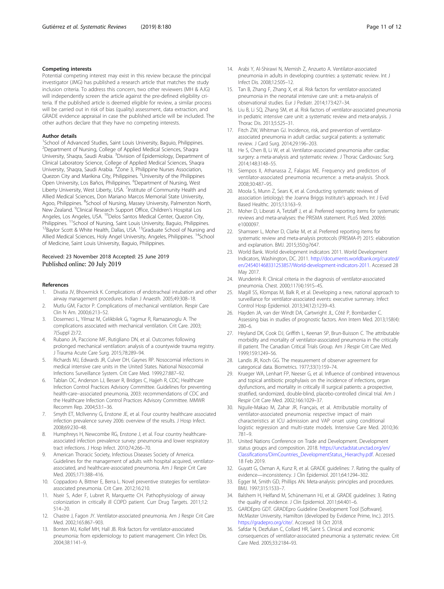#### <span id="page-10-0"></span>Competing interests

Potential competing interest may exist in this review because the principal investigator (JMG) has published a research article that matches the study inclusion criteria. To address this concern, two other reviewers (MH & AJG) will independently screen the article against the pre-defined eligibility criteria. If the published article is deemed eligible for review, a similar process will be carried out in risk of bias (quality) assessment, data extraction, and GRADE evidence appraisal in case the published article will be included. The other authors declare that they have no competing interests.

#### Author details

<sup>1</sup>School of Advanced Studies, Saint Louis University, Baguio, Philippines. <sup>2</sup>Department of Nursing, College of Applied Medical Sciences, Shaqra University, Shaqra, Saudi Arabia. <sup>3</sup>Division of Epidemiology, Department of Clinical Laboratory Science, College of Applied Medical Sciences, Shaqra University, Shaqra, Saudi Arabia. <sup>4</sup>Zone 3, Philippine Nurses Association, Quezon City and Marikina City, Philippines. <sup>5</sup>University of the Philippines Open University, Los Baños, Philippines. <sup>6</sup>Department of Nursing, West Liberty University, West Liberty, USA. <sup>7</sup>Institute of Community Health and Allied Medical Sciences, Don Mariano Marcos Memorial State University, Agoo, Philippines. <sup>8</sup>School of Nursing, Massey University, Palmerston North, New Zealand. <sup>9</sup>Clinical Research Support Office, Children's Hospital Los Angeles, Los Angeles, USA. <sup>10</sup>Delos Santos Medical Center, Quezon City, Philippines. <sup>11</sup>School of Nursing, Saint Louis University, Baguio, Philippines.<br><sup>12</sup>Baylor Scott & White Health, Dallas, USA. <sup>13</sup>Graduate School of Nursing and Allied Medical Sciences, Holy Angel University, Angeles, Philippines. <sup>14</sup>School of Medicine, Saint Louis University, Baguio, Philippines.

#### Received: 23 November 2018 Accepted: 25 June 2019 Published online: 20 July 2019

#### References

- 1. Divatia JV, Bhowmick K. Complications of endotracheal intubation and other airway management procedures. Indian J Anaesth. 2005;49:308–18.
- 2. Mutlu GM, Factor P. Complications of mechanical ventilation. Respir Care Clin N Am. 2000;6:213–52.
- 3. Dosemeci L, Yilmaz M, Celikbilek G, Yagmur R, Ramazanoglu A. The complications associated with mechanical ventilation. Crit Care. 2003; 7(Suppl 2):72.
- 4. Rubano JA, Paccione MF, Rutigliano DN, et al. Outcomes following prolonged mechanical ventilation: analysis of a countywide trauma registry. J Trauma Acute Care Surg. 2015;78:289–94.
- Richards MJ, Edwards JR, Culver DH, Gaynes RP. Nosocomial infections in medical intensive care units in the United States. National Nosocomial Infections Surveillance System. Crit Care Med. 1999;27:887–92.
- Tablan OC, Anderson LJ, Besser R, Bridges C, Hajjeh R, CDC; Healthcare Infection Control Practices Advisory Committee. Guidelines for preventing health-care--associated pneumonia, 2003: recommendations of CDC and the Healthcare Infection Control Practices Advisory Committee. MMWR Recomm Rep. 2004;53:1–36.
- Smyth ET, McIlvenny G, Enstone JE, et al. Four country healthcare associated infection prevalence survey 2006: overview of the results. J Hosp Infect. 2008;69:230–48.
- 8. Humphreys H, Newcombe RG, Enstone J, et al. Four country healthcareassociated infection prevalence survey: pneumonia and lower respiratory tract infections. J Hosp Infect. 2010;74:266–70.
- 9. American Thoracic Society, Infectious Diseases Society of America. Guidelines for the management of adults with hospital acquired, ventilatorassociated, and healthcare-associated pneumonia. Am J Respir Crit Care Med. 2005;171:388–416.
- 10. Coppadoro A, Bittner E, Berra L. Novel preventive strategies for ventilatorassociated pneumonia. Crit Care. 2012;16:210.
- 11. Nseir S, Ader F, Lubret R, Marquette CH. Pathophysiology of airway colonization in critically ill COPD patient. Curr Drug Targets. 2011;12: 514–20.
- 12. Chastre J, Fagon JY. Ventilator-associated pneumonia. Am J Respir Crit Care Med. 2002;165:867–903.
- 13. Bonten MJ, Kollef MH, Hall JB. Risk factors for ventilator-associated pneumonia: from epidemiology to patient management. Clin Infect Dis. 2004;38:1141–9.
- 14. Arabi Y, Al-Shirawi N, Memish Z, Anzueto A. Ventilator-associated pneumonia in adults in developing countries: a systematic review. Int J Infect Dis. 2008;12:505–12.
- 15. Tan B, Zhang F, Zhang X, et al. Risk factors for ventilator-associated pneumonia in the neonatal intensive care unit: a meta-analysis of observational studies. Eur J Pediatr. 2014;173:427–34.
- 16. Liu B, Li SQ, Zhang SM, et al. Risk factors of ventilator-associated pneumonia in pediatric intensive care unit: a systematic review and meta-analysis. J Thorac Dis. 2013;5:525–31.
- 17. Fitch ZW, Whitman GJ. Incidence, risk, and prevention of ventilatorassociated pneumonia in adult cardiac surgical patients: a systematic review. J Card Surg. 2014;29:196–203.
- 18. He S, Chen B, Li W, et al. Ventilator-associated pneumonia after cardiac surgery: a meta-analysis and systematic review. J Thorac Cardiovasc Surg. 2014;148:3148–55.
- 19. Siempos II, Athanassa Z, Falagas ME. Frequency and predictors of ventilator-associated pneumonia recurrence: a meta-analysis. Shock. 2008;30:487–95.
- 20. Moola S, Munn Z, Sears K, et al. Conducting systematic reviews of association (etiology): the Joanna Briggs Institute's approach. Int J Evid Based Healthc. 2015;13:163–9.
- 21. Moher D, Liberati A, Tetzlaff J, et al. Preferred reporting items for systematic reviews and meta-analyses: the PRISMA statement. PLoS Med. 2009;6: e1000097.
- 22. Shamseer L, Moher D, Clarke M, et al. Preferred reporting items for systematic review and meta-analysis protocols (PRISMA-P) 2015: elaboration and explanation. BMJ. 2015;350:g7647.
- 23. World Bank. World development indicators 2011. World Development Indicators, Washington, DC. 2011. [http://documents.worldbank.org/curated/](http://documents.worldbank.org/curated/en/245401468331253857/World-development-indicators-2011) [en/245401468331253857/World-development-indicators-2011.](http://documents.worldbank.org/curated/en/245401468331253857/World-development-indicators-2011) Accessed 28 May 2017.
- 24. Wunderink R. Clinical criteria in the diagnosis of ventilator-associated pneumonia. Chest. 2000;117(4):191S–4S.
- 25. Magill SS, Klompas M, Balk R, et al. Developing a new, national approach to surveillance for ventilator-associated events: executive summary. Infect Control Hosp Epidemiol. 2013;34(12):1239–43.
- 26. Hayden JA, van der Windt DA, Cartwright JL, Côté P, Bombardier C. Assessing bias in studies of prognostic factors. Ann Intern Med. 2013;158(4): 280–6.
- 27. Heyland DK, Cook DJ, Griffith L, Keenan SP, Brun-Buisson C. The attributable morbidity and mortality of ventilator-associated pneumonia in the critically ill patient. The Canadian Critical Trials Group. Am J Respir Crit Care Med. 1999;159:1249–56.
- 28. Landis JR, Koch GG. The measurement of observer agreement for categorical data. Biometrics. 1977;33(1):159–74.
- 29. Krueger WA, Lenhart FP, Neeser G, et al. Influence of combined intravenous and topical antibiotic prophylaxis on the incidence of infections, organ dysfunctions, and mortality in critically ill surgical patients: a prospective, stratified, randomized, double-blind, placebo-controlled clinical trial. Am J Respir Crit Care Med. 2002;166:1029–37.
- 30. Nguile-Makao M, Zahar JR, Français, et al. Attributable mortality of ventilator-associated pneumonia: respective impact of main characteristics at ICU admission and VAP onset using conditional logistic regression and multi-state models. Intensive Care Med. 2010;36: 781–9.
- 31. United Nations Conference on Trade and Development. Development status groups and composition. 2018. [https://unctadstat.unctad.org/en/](https://unctadstat.unctad.org/en/Classifications/DimCountries_DevelopmentStatus_Hierarchy.pdf) [Classifications/DimCountries\\_DevelopmentStatus\\_Hierarchy.pdf](https://unctadstat.unctad.org/en/Classifications/DimCountries_DevelopmentStatus_Hierarchy.pdf). Accessed 18 Feb 2019.
- 32. Guyatt G, Oxman A, Kunz R, et al. GRADE guidelines: 7. Rating the quality of evidence—inconsistency. J Clin Epidemiol. 2011;64:1294–302.
- 33. Egger M, Smith GD, Phillips AN. Meta-analysis: principles and procedures. BMJ. 1997;315:1533–7.
- 34. Balshem H, Helfand M, Schünemann HJ, et al. GRADE guidelines: 3. Rating the quality of evidence. J Clin Epidemiol. 2011;64:401–6.
- 35. GARDEpro GDT. GRADEpro Guideline Development Tool [Software]. McMaster University, Hamilton (developed by Evidence Prime, Inc.). 2015. <https://gradepro.org/cite/>. Accessed 18 Oct 2018.
- 36. Safdar N, Dezfulian C, Collard HR, Saint S. Clinical and economic consequences of ventilator-associated pneumonia: a systematic review. Crit Care Med. 2005;33:2184–93.